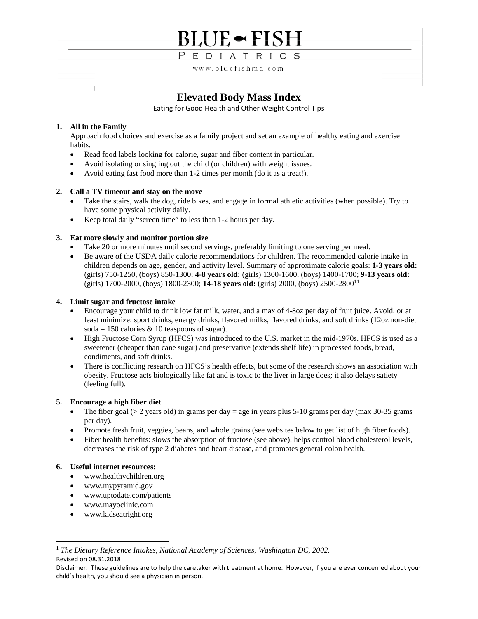## **BLUE** <del>~</del> FISH

PEDIATRICS

www.bluefishmd.com

## **Elevated Body Mass Index**

Eating for Good Health and Other Weight Control Tips

### **1. All in the Family**

Approach food choices and exercise as a family project and set an example of healthy eating and exercise habits.

- Read food labels looking for calorie, sugar and fiber content in particular.
- Avoid isolating or singling out the child (or children) with weight issues.
- Avoid eating fast food more than 1-2 times per month (do it as a treat!).

## **2. Call a TV timeout and stay on the move**

- Take the stairs, walk the dog, ride bikes, and engage in formal athletic activities (when possible). Try to have some physical activity daily.
- Keep total daily "screen time" to less than 1-2 hours per day.

## **3. Eat more slowly and monitor portion size**

- Take 20 or more minutes until second servings, preferably limiting to one serving per meal.
- Be aware of the USDA daily calorie recommendations for children. The recommended calorie intake in children depends on age, gender, and activity level. Summary of approximate calorie goals: **1-3 years old:** (girls) 750-1250, (boys) 850-1300; **4-8 years old:** (girls) 1300-1600, (boys) 1400-1700; **9-13 years old:** (girls) 1700-2000, (boys) 1800-2300; **14-18 years old:** (girls) 2000, (boys) 2500-28001[1](#page-1-0)

### **4. Limit sugar and fructose intake**

- Encourage your child to drink low fat milk, water, and a max of 4-8oz per day of fruit juice. Avoid, or at least minimize: sport drinks, energy drinks, flavored milks, flavored drinks, and soft drinks (12oz non-diet soda = 150 calories  $& 10$  teaspoons of sugar).
- High Fructose Corn Syrup (HFCS) was introduced to the U.S. market in the mid-1970s. HFCS is used as a sweetener (cheaper than cane sugar) and preservative (extends shelf life) in processed foods, bread, condiments, and soft drinks.
- There is conflicting research on HFCS's health effects, but some of the research shows an association with obesity. Fructose acts biologically like fat and is toxic to the liver in large does; it also delays satiety (feeling full).

### **5. Encourage a high fiber diet**

- The fiber goal ( $> 2$  years old) in grams per day = age in years plus 5-10 grams per day (max 30-35 grams per day).
- Promote fresh fruit, veggies, beans, and whole grains (see websites below to get list of high fiber foods).
- Fiber health benefits: slows the absorption of fructose (see above), helps control blood cholesterol levels, decreases the risk of type 2 diabetes and heart disease, and promotes general colon health.

### **6. Useful internet resources:**

- www.healthychildren.org
- www.mypyramid.gov
- www.uptodate.com/patients
- www.mayoclinic.com
- www.kidseatright.org
- https://txpeds.org/texas-pediatric-society-obesity-toolkit

#### <span id="page-1-0"></span>Revised on 08.31.2018 <sup>1</sup> The Dietary Reference Intakes, National Academy of Sciences, Washington DC, 2002.

Disclaimer: These guidelines are to help the caretaker with treatment at home. However, if you are ever concerned about your child's health, you should see a physician in person.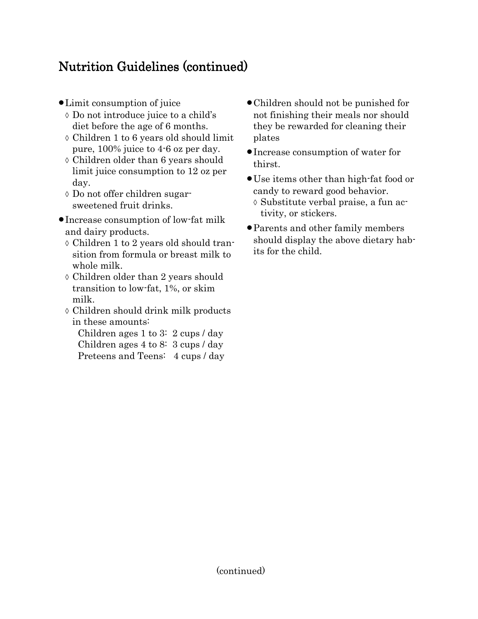## Nutrition Guidelines (continued)

- Limit consumption of juice
	- ◊ Do not introduce juice to a child's diet before the age of 6 months.
	- ◊ Children 1 to 6 years old should limit pure, 100% juice to 4-6 oz per day.
	- ◊ Children older than 6 years should limit juice consumption to 12 oz per day.
	- ◊ Do not offer children sugarsweetened fruit drinks.
- Increase consumption of low-fat milk and dairy products.
	- ◊ Children 1 to 2 years old should transition from formula or breast milk to whole milk.
	- ◊ Children older than 2 years should transition to low-fat, 1%, or skim milk.
	- ◊ Children should drink milk products in these amounts:
		- Children ages 1 to 3: 2 cups / day Children ages 4 to 8: 3 cups / day Preteens and Teens: 4 cups / day
- Children should not be punished for not finishing their meals nor should they be rewarded for cleaning their plates
- Increase consumption of water for thirst.
- Use items other than high-fat food or candy to reward good behavior. ◊ Substitute verbal praise, a fun activity, or stickers.
- Parents and other family members should display the above dietary habits for the child.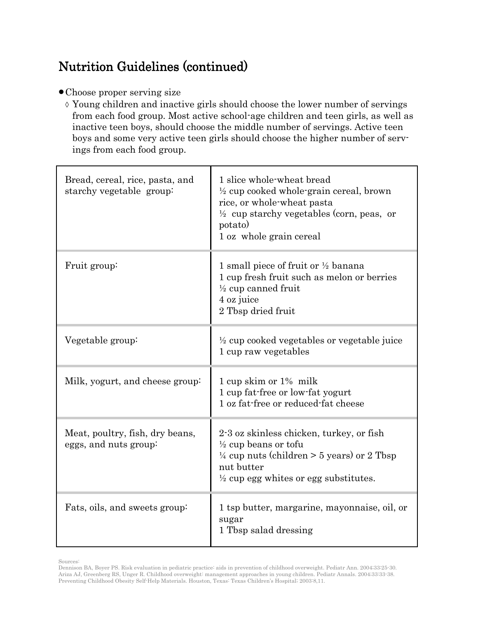## Nutrition Guidelines (continued)

- Choose proper serving size
	- ◊ Young children and inactive girls should choose the lower number of servings from each food group. Most active school-age children and teen girls, as well as inactive teen boys, should choose the middle number of servings. Active teen boys and some very active teen girls should choose the higher number of servings from each food group.

| Bread, cereal, rice, pasta, and<br>starchy vegetable group: | 1 slice whole-wheat bread<br>$\frac{1}{2}$ cup cooked whole-grain cereal, brown<br>rice, or whole-wheat pasta<br>$\frac{1}{2}$ cup starchy vegetables (corn, peas, or<br>potato)<br>1 oz whole grain cereal |
|-------------------------------------------------------------|-------------------------------------------------------------------------------------------------------------------------------------------------------------------------------------------------------------|
| Fruit group:                                                | 1 small piece of fruit or $\frac{1}{2}$ banana<br>1 cup fresh fruit such as melon or berries<br>$\frac{1}{2}$ cup canned fruit<br>4 oz juice<br>2 Tbsp dried fruit                                          |
| Vegetable group:                                            | $\frac{1}{2}$ cup cooked vegetables or vegetable juice<br>1 cup raw vegetables                                                                                                                              |
| Milk, yogurt, and cheese group:                             | 1 cup skim or 1% milk<br>1 cup fat-free or low-fat yogurt<br>1 oz fat-free or reduced-fat cheese                                                                                                            |
| Meat, poultry, fish, dry beans,<br>eggs, and nuts group:    | 2.3 oz skinless chicken, turkey, or fish<br>$\frac{1}{2}$ cup beans or tofu<br>$\frac{1}{4}$ cup nuts (children > 5 years) or 2 Tbsp<br>nut butter<br>$\frac{1}{2}$ cup egg whites or egg substitutes.      |
| Fats, oils, and sweets group:                               | 1 tsp butter, margarine, mayonnaise, oil, or<br>sugar<br>1 Tbsp salad dressing                                                                                                                              |

Sources:

Dennison BA, Boyer PS. Risk evaluation in pediatric practice: aids in prevention of childhood overweight. Pediatr Ann. 2004;33:25-30. Ariza AJ, Greenberg RS, Unger R. Childhood overweight: management approaches in young children. Pediatr Annals. 2004;33:33-38. Preventing Childhood Obesity Self-Help Materials. Houston, Texas: Texas Children's Hospital; 2003:8,11.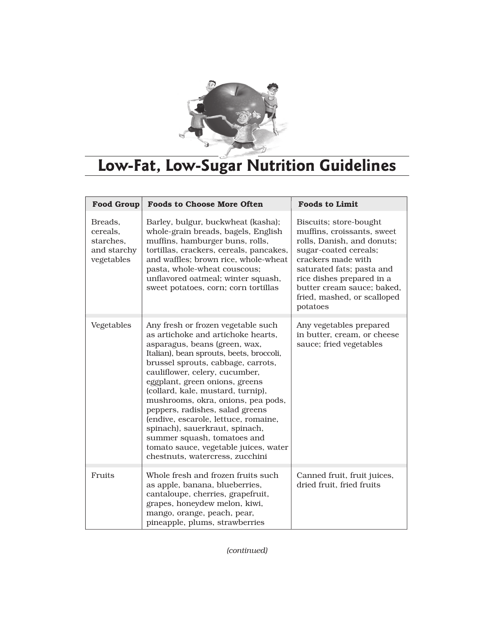

# **Low-Fat, Low-Sugar Nutrition Guidelines**

| <b>Food Group</b>                                             | <b>Foods to Choose More Often</b>                                                                                                                                                                                                                                                                                                                                                                                                                                                                                                                                  | <b>Foods to Limit</b>                                                                                                                                                                                                                                                |
|---------------------------------------------------------------|--------------------------------------------------------------------------------------------------------------------------------------------------------------------------------------------------------------------------------------------------------------------------------------------------------------------------------------------------------------------------------------------------------------------------------------------------------------------------------------------------------------------------------------------------------------------|----------------------------------------------------------------------------------------------------------------------------------------------------------------------------------------------------------------------------------------------------------------------|
| Breads.<br>cereals,<br>starches,<br>and starchy<br>vegetables | Barley, bulgur, buckwheat (kasha);<br>whole-grain breads, bagels, English<br>muffins, hamburger buns, rolls,<br>tortillas, crackers, cereals, pancakes,<br>and waffles; brown rice, whole-wheat<br>pasta, whole-wheat couscous;<br>unflavored oatmeal; winter squash,<br>sweet potatoes, corn; corn tortillas                                                                                                                                                                                                                                                      | Biscuits; store-bought<br>muffins, croissants, sweet<br>rolls, Danish, and donuts;<br>sugar-coated cereals;<br>crackers made with<br>saturated fats; pasta and<br>rice dishes prepared in a<br>butter cream sauce; baked,<br>fried, mashed, or scalloped<br>potatoes |
| Vegetables                                                    | Any fresh or frozen vegetable such<br>as artichoke and artichoke hearts,<br>asparagus, beans (green, wax,<br>Italian), bean sprouts, beets, broccoli,<br>brussel sprouts, cabbage, carrots,<br>cauliflower, celery, cucumber,<br>eggplant, green onions, greens<br>(collard, kale, mustard, turnip),<br>mushrooms, okra, onions, pea pods,<br>peppers, radishes, salad greens<br>(endive, escarole, lettuce, romaine,<br>spinach), sauerkraut, spinach,<br>summer squash, tomatoes and<br>tomato sauce, vegetable juices, water<br>chestnuts, watercress, zucchini | Any vegetables prepared<br>in butter, cream, or cheese<br>sauce; fried vegetables                                                                                                                                                                                    |
| Fruits                                                        | Whole fresh and frozen fruits such<br>as apple, banana, blueberries,<br>cantaloupe, cherries, grapefruit,<br>grapes, honeydew melon, kiwi,<br>mango, orange, peach, pear,<br>pineapple, plums, strawberries                                                                                                                                                                                                                                                                                                                                                        | Canned fruit, fruit juices,<br>dried fruit, fried fruits                                                                                                                                                                                                             |

*(continued)*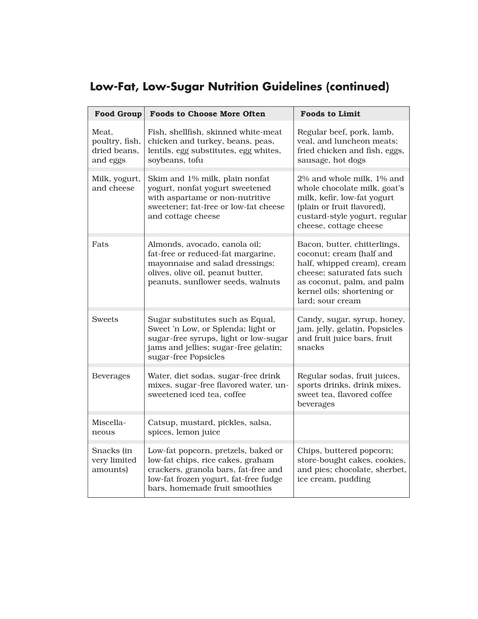## **Low-Fat, Low-Sugar Nutrition Guidelines (continued)**

| <b>Food Group</b>                                   | <b>Foods to Choose More Often</b>                                                                                                                                                           | <b>Foods to Limit</b>                                                                                                                                                                                  |  |
|-----------------------------------------------------|---------------------------------------------------------------------------------------------------------------------------------------------------------------------------------------------|--------------------------------------------------------------------------------------------------------------------------------------------------------------------------------------------------------|--|
| Meat.<br>poultry, fish,<br>dried beans,<br>and eggs | Fish, shellfish, skinned white-meat<br>chicken and turkey, beans, peas,<br>lentils, egg substitutes, egg whites,<br>soybeans, tofu                                                          | Regular beef, pork, lamb,<br>veal, and luncheon meats;<br>fried chicken and fish, eggs,<br>sausage, hot dogs                                                                                           |  |
| Milk, yogurt,<br>and cheese                         | Skim and 1% milk, plain nonfat<br>yogurt, nonfat yogurt sweetened<br>with aspartame or non-nutritive<br>sweetener; fat-free or low-fat cheese<br>and cottage cheese                         | 2% and whole milk, 1% and<br>whole chocolate milk, goat's<br>milk, kefir, low-fat yogurt<br>(plain or fruit flavored),<br>custard-style yogurt, regular<br>cheese, cottage cheese                      |  |
| Fats                                                | Almonds, avocado, canola oil;<br>fat-free or reduced-fat margarine,<br>mayonnaise and salad dressings;<br>olives, olive oil, peanut butter,<br>peanuts, sunflower seeds, walnuts            | Bacon, butter, chitterlings,<br>coconut; cream (half and<br>half, whipped cream), cream<br>cheese; saturated fats such<br>as coconut, palm, and palm<br>kernel oils; shortening or<br>lard; sour cream |  |
| <b>Sweets</b>                                       | Sugar substitutes such as Equal,<br>Sweet 'n Low, or Splenda; light or<br>sugar-free syrups, light or low-sugar<br>jams and jellies; sugar-free gelatin;<br>sugar-free Popsicles            | Candy, sugar, syrup, honey,<br>jam, jelly, gelatin, Popsicles<br>and fruit juice bars, fruit<br>snacks                                                                                                 |  |
| <b>Beverages</b>                                    | Water, diet sodas, sugar-free drink<br>mixes, sugar-free flavored water, un-<br>sweetened iced tea, coffee                                                                                  | Regular sodas, fruit juices,<br>sports drinks, drink mixes,<br>sweet tea, flavored coffee<br>beverages                                                                                                 |  |
| Miscella-<br>neous                                  | Catsup, mustard, pickles, salsa,<br>spices, lemon juice                                                                                                                                     |                                                                                                                                                                                                        |  |
| Snacks (in<br>very limited<br>amounts               | Low-fat popcorn, pretzels, baked or<br>low-fat chips, rice cakes, graham<br>crackers, granola bars, fat-free and<br>low-fat frozen yogurt, fat-free fudge<br>bars, homemade fruit smoothies | Chips, buttered popcorn;<br>store-bought cakes, cookies,<br>and pies; chocolate, sherbet,<br>ice cream, pudding                                                                                        |  |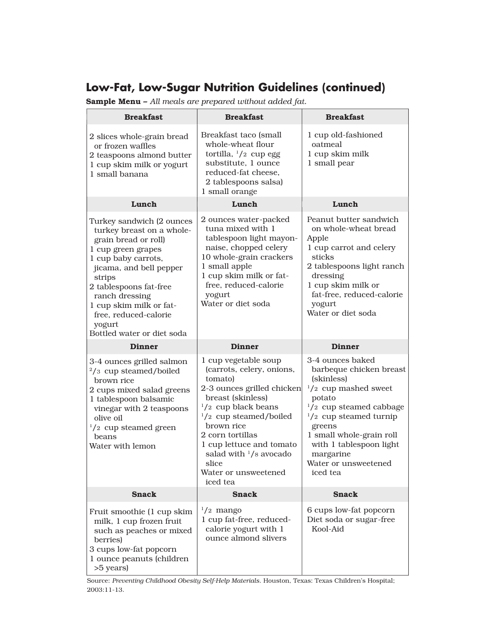## **Low-Fat, Low-Sugar Nutrition Guidelines (continued)**

Sample Menu – *All meals are prepared without added fat.*

| <b>Breakfast</b>                                                                                                                                                                                                                                                                                         | <b>Breakfast</b>                                                                                                                                                                                                                                                                                                                    | <b>Breakfast</b>                                                                                                                                                                                                                                                                                 |  |
|----------------------------------------------------------------------------------------------------------------------------------------------------------------------------------------------------------------------------------------------------------------------------------------------------------|-------------------------------------------------------------------------------------------------------------------------------------------------------------------------------------------------------------------------------------------------------------------------------------------------------------------------------------|--------------------------------------------------------------------------------------------------------------------------------------------------------------------------------------------------------------------------------------------------------------------------------------------------|--|
| 2 slices whole-grain bread<br>or frozen waffles<br>2 teaspoons almond butter<br>1 cup skim milk or yogurt<br>1 small banana                                                                                                                                                                              | Breakfast taco (small<br>whole-wheat flour<br>tortilla, <sup>1</sup> /2 cup egg<br>substitute, 1 ounce<br>reduced-fat cheese,<br>2 tablespoons salsa)<br>1 small orange                                                                                                                                                             | 1 cup old-fashioned<br>oatmeal<br>1 cup skim milk<br>1 small pear                                                                                                                                                                                                                                |  |
| Lunch                                                                                                                                                                                                                                                                                                    | Lunch                                                                                                                                                                                                                                                                                                                               | Lunch                                                                                                                                                                                                                                                                                            |  |
| Turkey sandwich (2 ounces<br>turkey breast on a whole-<br>grain bread or roll)<br>1 cup green grapes<br>1 cup baby carrots,<br>jicama, and bell pepper<br>strips<br>2 tablespoons fat-free<br>ranch dressing<br>1 cup skim milk or fat-<br>free, reduced-calorie<br>yogurt<br>Bottled water or diet soda | 2 ounces water-packed<br>tuna mixed with 1<br>tablespoon light mayon-<br>naise, chopped celery<br>10 whole-grain crackers<br>1 small apple<br>1 cup skim milk or fat-<br>free, reduced-calorie<br>yogurt<br>Water or diet soda                                                                                                      | Peanut butter sandwich<br>on whole-wheat bread<br>Apple<br>1 cup carrot and celery<br>sticks<br>2 tablespoons light ranch<br>dressing<br>1 cup skim milk or<br>fat-free, reduced-calorie<br>yogurt<br>Water or diet soda                                                                         |  |
| <b>Dinner</b>                                                                                                                                                                                                                                                                                            | <b>Dinner</b>                                                                                                                                                                                                                                                                                                                       | <b>Dinner</b>                                                                                                                                                                                                                                                                                    |  |
| 3-4 ounces grilled salmon<br>$\frac{2}{3}$ cup steamed/boiled<br>brown rice<br>2 cups mixed salad greens<br>1 tablespoon balsamic<br>vinegar with 2 teaspoons<br>olive oil<br>$\frac{1}{2}$ cup steamed green<br>beans<br>Water with lemon                                                               | 1 cup vegetable soup<br>(carrots, celery, onions,<br>tomato)<br>2-3 ounces grilled chicken<br>breast (skinless)<br>$\frac{1}{2}$ cup black beans<br>$\frac{1}{2}$ cup steamed/boiled<br>brown rice<br>2 corn tortillas<br>1 cup lettuce and tomato<br>salad with $\frac{1}{8}$ avocado<br>slice<br>Water or unsweetened<br>iced tea | 3-4 ounces baked<br>barbeque chicken breast<br>(skinless)<br>$\frac{1}{2}$ cup mashed sweet<br>potato<br>$\frac{1}{2}$ cup steamed cabbage<br>$\frac{1}{2}$ cup steamed turnip<br>greens<br>1 small whole-grain roll<br>with 1 tablespoon light<br>margarine<br>Water or unsweetened<br>iced tea |  |
| <b>Snack</b>                                                                                                                                                                                                                                                                                             | <b>Snack</b>                                                                                                                                                                                                                                                                                                                        | <b>Snack</b>                                                                                                                                                                                                                                                                                     |  |
| Fruit smoothie (1 cup skim<br>milk, 1 cup frozen fruit<br>such as peaches or mixed<br>berries)<br>3 cups low-fat popcorn<br>1 ounce peanuts (children<br>>5 years)                                                                                                                                       | $\frac{1}{2}$ mango<br>1 cup fat-free, reduced-<br>calorie yogurt with 1<br>ounce almond slivers                                                                                                                                                                                                                                    | 6 cups low-fat popcorn<br>Diet soda or sugar-free<br>Kool-Aid                                                                                                                                                                                                                                    |  |

Source: *Preventing Childhood Obesity Self-Help Materials*. Houston, Texas: Texas Children's Hospital; 2003:11-13.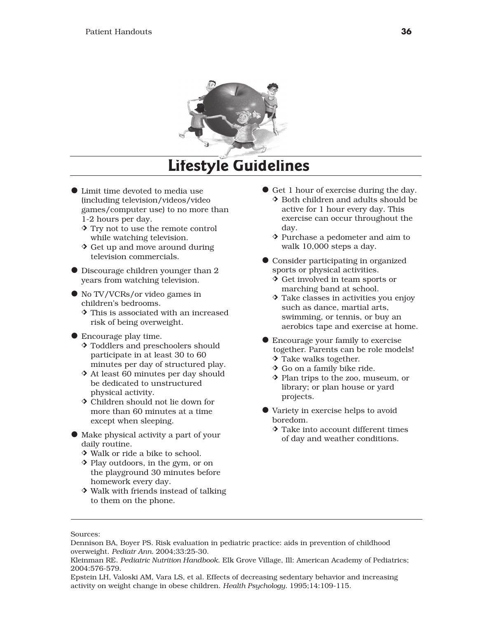

## **Lifestyle Guidelines**

- $\bullet$  Limit time devoted to media use (including television/videos/video games/computer use) to no more than 1-2 hours per day.
	- $\Diamond$  Try not to use the remote control while watching television.
	- $\Diamond$  Get up and move around during television commercials.
- $\bullet$  Discourage children younger than 2 years from watching television.
- $\bullet$  No TV/VCRs/or video games in children's bedrooms.
	- $\Diamond$  This is associated with an increased risk of being overweight.
- $\bullet$  Encourage play time.
	- $\Diamond$  Toddlers and preschoolers should participate in at least 30 to 60 minutes per day of structured play.
	- $\Diamond$  At least 60 minutes per day should be dedicated to unstructured physical activity.
	- $\Diamond$  Children should not lie down for more than 60 minutes at a time except when sleeping.
- $\bullet$  Make physical activity a part of your daily routine.
	- $\Diamond$  Walk or ride a bike to school.
	- $\Diamond$  Play outdoors, in the gym, or on the playground 30 minutes before homework every day.
	- $\Diamond$  Walk with friends instead of talking to them on the phone.
- **•** Get 1 hour of exercise during the day.
	- $\Diamond$  Both children and adults should be active for 1 hour every day. This exercise can occur throughout the day.
	- $\Diamond$  Purchase a pedometer and aim to walk 10,000 steps a day.
- **Consider participating in organized** sports or physical activities.
	- $\Diamond$  Get involved in team sports or marching band at school.
	- $\Diamond$  Take classes in activities you enjoy such as dance, martial arts, swimming, or tennis, or buy an aerobics tape and exercise at home.
- $\bullet$  Encourage your family to exercise together. Parents can be role models!  $\Diamond$  Take walks together.
	- $\Diamond$  Go on a family bike ride.
	- j Plan trips to the zoo, museum, or library; or plan house or yard projects.
- $\bullet$  Variety in exercise helps to avoid boredom.
	- $\Diamond$  Take into account different times of day and weather conditions.

Sources:

Dennison BA, Boyer PS. Risk evaluation in pediatric practice: aids in prevention of childhood overweight. *Pediatr Ann.* 2004;33:25-30.

Kleinman RE. *Pediatric Nutrition Handbook*. Elk Grove Village, Ill: American Academy of Pediatrics; 2004:576-579.

Epstein LH, Valoski AM, Vara LS, et al. Effects of decreasing sedentary behavior and increasing activity on weight change in obese children. *Health Psychology.* 1995;14:109-115.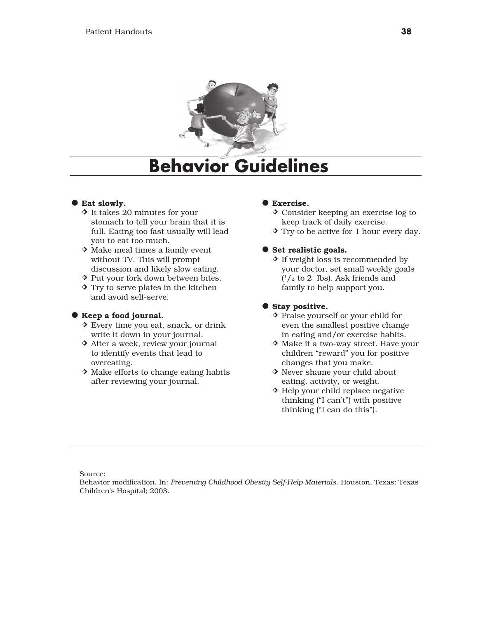

## **Behavior Guidelines**

### **C** Eat slowly.

- $\Diamond$  It takes 20 minutes for your stomach to tell your brain that it is full. Eating too fast usually will lead you to eat too much.
- $\Diamond$  Make meal times a family event without TV. This will prompt discussion and likely slow eating.
- ◆ Put your fork down between bites.
- $\Diamond$  Try to serve plates in the kitchen and avoid self-serve.

### a Keep a food journal.

- $\Diamond$  Every time you eat, snack, or drink write it down in your journal.
- $\triangle$  After a week, review your journal to identify events that lead to overeating.
- $\Diamond$  Make efforts to change eating habits after reviewing your journal.

## **C** Exercise.

- $\Diamond$  Consider keeping an exercise log to keep track of daily exercise.
- $\Diamond$  Try to be active for 1 hour every day.

### **•** Set realistic goals.

 $\Diamond$  If weight loss is recommended by your doctor, set small weekly goals  $(1/2 \text{ to } 2 \text{ lbs})$ . Ask friends and family to help support you.

## $\bullet$  Stay positive.

- $\Diamond$  Praise yourself or your child for even the smallest positive change in eating and/or exercise habits.
- $\Diamond$  Make it a two-way street. Have your children "reward" you for positive changes that you make.
- $\Diamond$  Never shame your child about eating, activity, or weight.
- $\Diamond$  Help your child replace negative thinking ("I can't") with positive thinking ("I can do this").

Source:

Behavior modification. In: *Preventing Childhood Obesity Self-Help Materials*. Houston, Texas: Texas Children's Hospital; 2003.